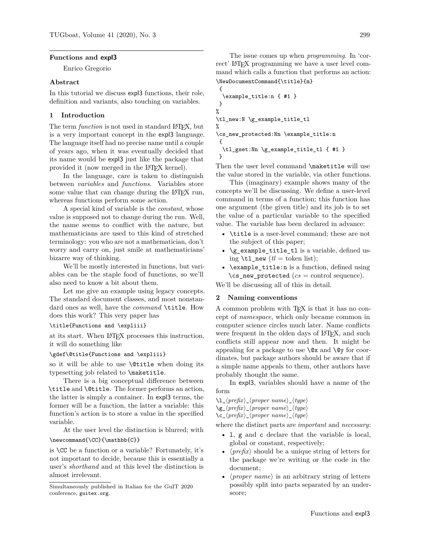#### **Functions and expl3**

Enrico Gregorio

#### **Abstract**

In this tutorial we discuss expl3 functions, their role, definition and variants, also touching on variables.

### **1 Introduction**

The term *function* is not used in standard L<sup>AT</sup>FX, but is a very important concept in the expl3 language. The language itself had no precise name until a couple of years ago, when it was eventually decided that its name would be expl3 just like the package that provided it (now merged in the LATEX kernel).

In the language, care is taken to distinguish between *variables* and *functions*. Variables store some value that can change during the LAT<sub>EX</sub> run, whereas functions perform some action.

A special kind of variable is the *constant*, whose value is supposed not to change during the run. Well, the name seems to conflict with the nature, but mathematicians are used to this kind of stretched terminology: you who are not a mathematician, don't worry and carry on, just smile at mathematicians' bizarre way of thinking.

We'll be mostly interested in functions, but variables can be the staple food of functions, so we'll also need to know a bit about them.

Let me give an example using legacy concepts. The standard document classes, and most nonstandard ones as well, have the *command* \title. How does this work? This very paper has

### \title{Functions and \expliii}

at its start. When LATEX processes this instruction, it will do something like

#### \gdef\@title{Functions and \expliii}

so it will be able to use \@title when doing its typesetting job related to \maketitle.

There is a big conceptual difference between \title and \@title. The former performs an action, the latter is simply a container. In expl3 terms, the former will be a function, the latter a variable: this function's action is to store a value in the specified variable.

At the user level the distinction is blurred; with \newcommand{\CC}{\mathbb{C}}

is \CC be a function or a variable? Fortunately, it's not important to decide, because this is essentially a user's *shorthand* and at this level the distinction is almost irrelevant.

```
{
  \example_title:n { #1 }
}
%
\tl_new:N \g_example_title_tl
%
\cs_new_protected:Nn \example_title:n
{
  \tl_gset:Nn \g_example_title_tl { #1 }
}
```
Then the user level command \maketitle will use the value stored in the variable, via other functions.

This (imaginary) example shows many of the concepts we'll be discussing. We define a user-level command in terms of a function; this function has one argument (the given title) and its job is to set the value of a particular variable to the specified value. The variable has been declared in advance:

- \title is a user-level command; these are not the subject of this paper;
- \g\_example\_title\_tl is a variable, defined using  $\tilde{t}$  new  $(tl = \text{token list});$
- $\text{example title:}n \text{ is a function, defined using}$  $\csc_2$ new\_protected ( $cs =$  control sequence).

We'll be discussing all of this in detail.

### **2 Naming conventions**

A common problem with TEX is that it has no concept of *namespace*, which only became common in computer science circles much later. Name conflicts were frequent in the olden days of LAT<sub>EX</sub>, and such conflicts still appear now and then. It might be appealing for a package to use  $\&$  and  $\&$  for coordinates, but package authors should be aware that if a simple name appeals to them, other authors have probably thought the same.

In expl3, variables should have a name of the form

```
\l_hprefixi_hproper namei_htypei
\gtrsim_{g\&\langle prefix\rangle_\langle proper\ name\rangle_\langle type\rangle\c_hprefixi_hproper namei_htypei
```
where the distinct parts are *important* and *necessary*:

- l, g and c declare that the variable is local, global or constant, respectively;
- $\langle \text{prefix} \rangle$  should be a unique string of letters for the package we're writing or the code in the document;
- $\langle proper\ name\rangle$  is an arbitrary string of letters possibly split into parts separated by an underscore;

Simultaneously published in Italian for the GuIT 2020 conference, guitex.org.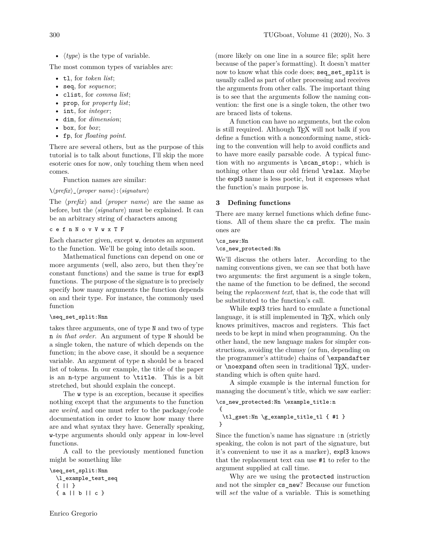•  $\langle type \rangle$  is the type of variable.

The most common types of variables are:

- tl, for *token list*;
- seq, for *sequence*;
- clist, for *comma list*;
- prop, for *property list*;
- int, for *integer*;
- dim, for *dimension*;
- box, for *box*;
- fp, for *floating point*.

There are several others, but as the purpose of this tutorial is to talk about functions, I'll skip the more esoteric ones for now, only touching them when need comes.

Function names are similar:

### $\setminus \langle prefix \rangle_{\langle proper \ name \rangle : \langle signature \rangle$

The  $\langle prefix \rangle$  and  $\langle proper \ name \rangle$  are the same as before, but the  $\langle signature \rangle$  must be explained. It can be an arbitrary string of characters among

### c e f n N o v V w x T F

Each character given, except w, denotes an argument to the function. We'll be going into details soon.

Mathematical functions can depend on one or more arguments (well, also zero, but then they're constant functions) and the same is true for expl3 functions. The purpose of the signature is to precisely specify how many arguments the function depends on and their type. For instance, the commonly used function

### \seq\_set\_split:Nnn

takes three arguments, one of type N and two of type n *in that order*. An argument of type N should be a single token, the nature of which depends on the function; in the above case, it should be a sequence variable. An argument of type n should be a braced list of tokens. In our example, the title of the paper is an n-type argument to \title. This is a bit stretched, but should explain the concept.

The w type is an exception, because it specifies nothing except that the arguments to the function are *weird*, and one must refer to the package/code documentation in order to know how many there are and what syntax they have. Generally speaking, w-type arguments should only appear in low-level functions.

A call to the previously mentioned function might be something like

```
\seq_set_split:Nnn
 \l_example_test_seq
 { || }
 { a || b || c }
```
(more likely on one line in a source file; split here because of the paper's formatting). It doesn't matter now to know what this code does; seq\_set\_split is usually called as part of other processing and receives the arguments from other calls. The important thing is to see that the arguments follow the naming convention: the first one is a single token, the other two are braced lists of tokens.

A function can have no arguments, but the colon is still required. Although T<sub>EX</sub> will not balk if you define a function with a nonconforming name, sticking to the convention will help to avoid conflicts and to have more easily parsable code. A typical function with no arguments is \scan\_stop:, which is nothing other than our old friend \relax. Maybe the expl3 name is less poetic, but it expresses what the function's main purpose is.

# **3 Defining functions**

There are many kernel functions which define functions. All of them share the cs prefix. The main ones are

### \cs\_new:Nn

\cs\_new\_protected:Nn

We'll discuss the others later. According to the naming conventions given, we can see that both have two arguments: the first argument is a single token, the name of the function to be defined, the second being the *replacement text*, that is, the code that will be substituted to the function's call.

While expl3 tries hard to emulate a functional language, it is still implemented in T<sub>E</sub>X, which only knows primitives, macros and registers. This fact needs to be kept in mind when programming. On the other hand, the new language makes for simpler constructions, avoiding the clumsy (or fun, depending on the programmer's attitude) chains of \expandafter or **\noexpand** often seen in traditional TEX, understanding which is often quite hard.

A simple example is the internal function for managing the document's title, which we saw earlier:

```
\cs_new_protected:Nn \example_title:n
```

```
{
\tl_gset:Nn \g_example_title_tl { #1 }
}
```
Since the function's name has signature :n (strictly speaking, the colon is not part of the signature, but it's convenient to use it as a marker), expl3 knows that the replacement text can use #1 to refer to the argument supplied at call time.

Why are we using the protected instruction and not the simpler cs\_new? Because our function will *set* the value of a variable. This is something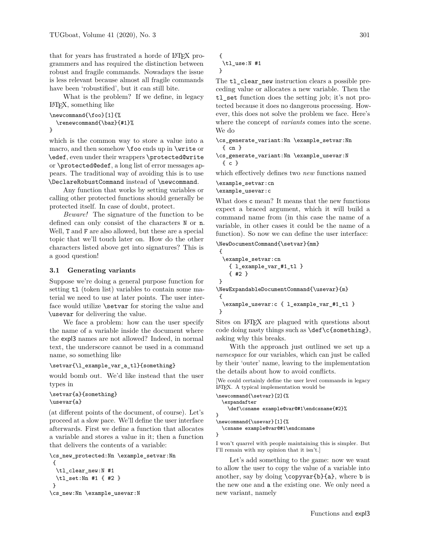that for years has frustrated a horde of LATEX programmers and has required the distinction between robust and fragile commands. Nowadays the issue is less relevant because almost all fragile commands have been 'robustified', but it can still bite.

What is the problem? If we define, in legacy LATEX, something like

```
\newcommand{\foo}[1]{%
  \renewcommand{\baz}{#1}%
}
```
which is the common way to store a value into a macro, and then somehow \foo ends up in \write or \edef, even under their wrappers \protected@write or \protected@edef, a long list of error messages appears. The traditional way of avoiding this is to use \DeclareRobustCommand instead of \newcommand.

Any function that works by setting variables or calling other protected functions should generally be protected itself. In case of doubt, protect.

*Beware!* The signature of the function to be defined can only consist of the characters N or n. Well, T and F are also allowed, but these are a special topic that we'll touch later on. How do the other characters listed above get into signatures? This is a good question!

#### **3.1 Generating variants**

Suppose we're doing a general purpose function for setting  $t1$  (token list) variables to contain some material we need to use at later points. The user interface would utilize \setvar for storing the value and \usevar for delivering the value.

We face a problem: how can the user specify the name of a variable inside the document where the expl3 names are not allowed? Indeed, in normal text, the underscore cannot be used in a command name, so something like

#### \setvar{\l\_example\_var\_a\_tl}{something}

would bomb out. We'd like instead that the user types in

```
\setvar{a}{something}
\usevar{a}
```
(at different points of the document, of course). Let's proceed at a slow pace. We'll define the user interface afterwards. First we define a function that allocates a variable and stores a value in it; then a function that delivers the contents of a variable:

```
\cs_new_protected:Nn \example_setvar:Nn
{
 \tl_clear_new:N #1
 \tl_set:Nn #1 { #2 }
}
\cs_new:Nn \example_usevar:N
```

```
{
 \tl_use:N #1
}
```
The tl\_clear\_new instruction clears a possible preceding value or allocates a new variable. Then the tl\_set function does the setting job; it's not protected because it does no dangerous processing. However, this does not solve the problem we face. Here's where the concept of *variants* comes into the scene. We do

```
\cs_generate_variant:Nn \example_setvar:Nn
  { cn }
```

```
\cs_generate_variant:Nn \example_usevar:N
 { c }
```
which effectively defines two *new* functions named

```
\example_setvar:cn
```
\example\_usevar:c

What does c mean? It means that the new functions expect a braced argument, which it will build a command name from (in this case the name of a variable, in other cases it could be the name of a function). So now we can define the user interface:

\NewDocumentCommand{\setvar}{mm}

```
{
  \example_setvar:cn
   { l_example_var_#1_tl }
   { #2 }
}
\NewExpandableDocumentCommand{\usevar}{m}
{
  \example_usevar:c { l_example_var_#1_tl }
}
```
Sites on LAT<sub>EX</sub> are plagued with questions about code doing nasty things such as  $\def\cf{\sometning},$ asking why this breaks.

With the approach just outlined we set up a *namespace* for our variables, which can just be called by their 'outer' name, leaving to the implementation the details about how to avoid conflicts.

[We could certainly define the user level commands in legacy LATEX. A typical implementation would be

```
\newcommand{\setvar}[2]{%
  \expandafter
    \def\csname example@var@#1\endcsname{#2}%
}
\newcommand{\usevar}[1]{%
  \csname example@var@#1\endcsname
}
```
I won't quarrel with people maintaining this is simpler. But I'll remain with my opinion that it isn't.]

Let's add something to the game: now we want to allow the user to copy the value of a variable into another, say by doing  $\c{opyvar{b}{a},$  where b is the new one and a the existing one. We only need a new variant, namely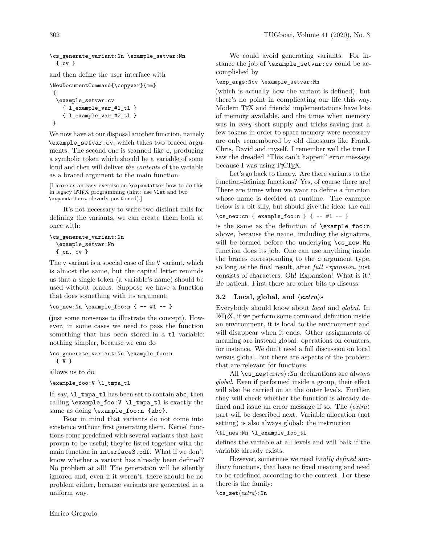\cs\_generate\_variant:Nn \example\_setvar:Nn { cv }

and then define the user interface with

```
\NewDocumentCommand{\copyvar}{mm}
{
 \example_setvar:cv
   { l_example_var_#1_tl }
    { l_example_var_#2_tl }
}
```
We now have at our disposal another function, namely \example\_setvar:cv, which takes two braced arguments. The second one is scanned like c, producing a symbolic token which should be a variable of some kind and then will deliver *the contents* of the variable as a braced argument to the main function.

[I leave as an easy exercise on \expandafter how to do this in legacy LATEX programming (hint: use \let and two \expandafters, cleverly positioned).]

It's not necessary to write two distinct calls for defining the variants, we can create them both at once with:

```
\cs_generate_variant:Nn
 \example_setvar:Nn
  { cn, cv }
```
The v variant is a special case of the V variant, which is almost the same, but the capital letter reminds us that a single token (a variable's name) should be used without braces. Suppose we have a function that does something with its argument:

```
\cs{}_{new:Nn} \exp_{e_f} { -- #1 -- }
```
(just some nonsense to illustrate the concept). However, in some cases we need to pass the function something that has been stored in a tl variable: nothing simpler, because we can do

```
\cs_generate_variant:Nn \example_foo:n
 { V }
```
allows us to do

\example\_foo:V \l\_tmpa\_tl

If, say, \l\_tmpa\_tl has been set to contain abc, then calling \example\_foo:V \l\_tmpa\_tl is exactly the same as doing \example\_foo:n {abc}.

Bear in mind that variants do not come into existence without first generating them. Kernel functions come predefined with several variants that have proven to be useful; they're listed together with the main function in interface3.pdf. What if we don't know whether a variant has already been defined? No problem at all! The generation will be silently ignored and, even if it weren't, there should be no problem either, because variants are generated in a uniform way.

We could avoid generating variants. For instance the job of \example\_setvar:cv could be accomplished by

#### \exp\_args:Ncv \example\_setvar:Nn

(which is actually how the variant is defined), but there's no point in complicating our life this way. Modern T<sub>F</sub>X and friends' implementations have lots of memory available, and the times when memory was in *very* short supply and tricks saving just a few tokens in order to spare memory were necessary are only remembered by old dinosaurs like Frank, Chris, David and myself. I remember well the time I saw the dreaded "This can't happen" error message because I was using P<sub>I</sub>CT<sub>E</sub>X.

Let's go back to theory. Are there variants to the function-defining functions? Yes, of course there are! There are times when we want to define a function whose name is decided at runtime. The example below is a bit silly, but should give the idea: the call \cs\_new:cn { example\_foo:n } { -- #1 -- }

is the same as the definition of \example\_foo:n above, because the name, including the signature, will be formed before the underlying \cs\_new:Nn function does its job. One can use anything inside the braces corresponding to the c argument type, so long as the final result, after *full expansion*, just consists of characters. Oh! Expansion! What is it? Be patient. First there are other bits to discuss.

#### **3.2** Local, global, and  $\langle extra \rangle$ **s**

Everybody should know about *local* and *global*. In LATEX, if we perform some command definition inside an environment, it is local to the environment and will disappear when it ends. Other assignments of meaning are instead global: operations on counters, for instance. We don't need a full discussion on local versus global, but there are aspects of the problem that are relevant for functions.

All  $\cos_{new}\langle extra\rangle:$ Nn declarations are always *global*. Even if performed inside a group, their effect will also be carried on at the outer levels. Further, they will check whether the function is already defined and issue an error message if so. The  $\langle extra \rangle$ part will be described next. Variable allocation (not setting) is also always global: the instruction

### \tl\_new:Nn \l\_example\_foo\_tl

defines the variable at all levels and will balk if the variable already exists.

However, sometimes we need *locally defined* auxiliary functions, that have no fixed meaning and need to be redefined according to the context. For these there is the family:

\cs\_seth*extra*i:Nn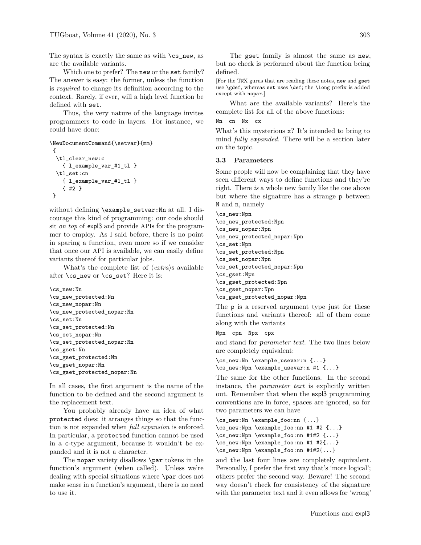The syntax is exactly the same as with  $\csc$ new, as are the available variants.

Which one to prefer? The new or the set family? The answer is easy: the former, unless the function is *required* to change its definition according to the context. Rarely, if ever, will a high level function be defined with set.

Thus, the very nature of the language invites programmers to code in layers. For instance, we could have done:

```
\NewDocumentCommand{\setvar}{mm}
{
 \tl_clear_new:c
   { l_example_var_#1_tl }
 \tl_set:cn
   { l_example_var_#1_tl }
    { #2 }
}
```
without defining \example\_setvar:Nn at all. I discourage this kind of programming: our code should sit *on top* of expl3 and provide APIs for the programmer to employ. As I said before, there is no point in sparing a function, even more so if we consider that once our API is available, we can easily define variants thereof for particular jobs.

What's the complete list of  $\langle extra \rangle$ s available after \cs\_new or \cs\_set? Here it is:

```
\cs_new:Nn
\cs_new_protected:Nn
\cs_new_nopar:Nn
\cs_new_protected_nopar:Nn
\cs_set:Nn
\cs_set_protected:Nn
\cs_set_nopar:Nn
\cs_set_protected_nopar:Nn
\cs_gset:Nn
\cs_gset_protected:Nn
\cs_gset_nopar:Nn
\cs_gset_protected_nopar:Nn
```
In all cases, the first argument is the name of the function to be defined and the second argument is the replacement text.

You probably already have an idea of what protected does: it arranges things so that the function is not expanded when *full expansion* is enforced. In particular, a protected function cannot be used in a c-type argument, because it wouldn't be expanded and it is not a character.

The nopar variety disallows \par tokens in the function's argument (when called). Unless we're dealing with special situations where \par does not make sense in a function's argument, there is no need to use it.

The gset family is almost the same as new, but no check is performed about the function being defined.

[For the T<sub>F</sub>X gurus that are reading these notes, new and gset use \gdef, whereas set uses \def; the \long prefix is added except with nopar.]

What are the available variants? Here's the complete list for all of the above functions:

Nn cn Nx cx

What's this mysterious x? It's intended to bring to mind *fully expanded*. There will be a section later on the topic.

#### **3.3 Parameters**

Some people will now be complaining that they have seen different ways to define functions and they're right. There *is* a whole new family like the one above but where the signature has a strange p between N and n, namely

\cs\_new:Npn \cs\_new\_protected:Npn \cs\_new\_nopar:Npn \cs\_new\_protected\_nopar:Npn \cs\_set:Npn \cs\_set\_protected:Npn \cs\_set\_nopar:Npn \cs\_set\_protected\_nopar:Npn \cs\_gset:Npn \cs\_gset\_protected:Npn \cs\_gset\_nopar:Npn \cs\_gset\_protected\_nopar:Npn

The p is a reserved argument type just for these functions and variants thereof: all of them come along with the variants

```
Npn cpn Npx cpx
```
and stand for *parameter text*. The two lines below are completely equivalent:

\cs\_new:Nn \example\_usevar:n {...}

\cs\_new:Npn \example\_usevar:n #1 {...}

The same for the other functions. In the second instance, the *parameter text* is explicitly written out. Remember that when the expl3 programming conventions are in force, spaces are ignored, so for two parameters we can have

```
\cs_new:Nn \example_foo:nn {...}
\cs_new:Npn \example_foo:nn #1 #2 {...}
\cs_new:Npn \example_foo:nn #1#2 {...}
\cs_new:Npn \example_foo:nn #1 #2{...}
\cs_new:Npn \example_foo:nn #1#2{...}
```
and the last four lines are completely equivalent. Personally, I prefer the first way that's 'more logical'; others prefer the second way. Beware! The second way doesn't check for consistency of the signature with the parameter text and it even allows for 'wrong'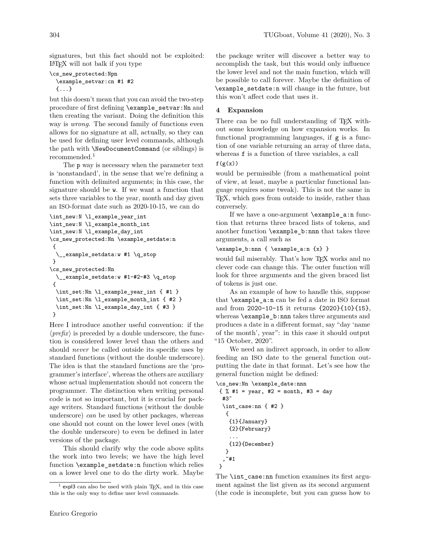signatures, but this fact should not be exploited: LATEX will not balk if you type

```
\cs_new_protected:Npn
  \example_setvar:cn #1 #2
  {...}
```
but this doesn't mean that you can avoid the two-step procedure of first defining \example\_setvar:Nn and then creating the variant. Doing the definition this way is *wrong*. The second family of functions even allows for no signature at all, actually, so they can be used for defining user level commands, although the path with \NewDocumentCommand (or siblings) is recommended.<sup>1</sup>

The p way is necessary when the parameter text is 'nonstandard', in the sense that we're defining a function with delimited arguments; in this case, the signature should be w. If we want a function that sets three variables to the year, month and day given an ISO-format date such as 2020-10-15, we can do

```
\int_new:N \l_example_year_int
\int_new:N \l_example_month_int
\int_new:N \l_example_day_int
\cs_new_protected:Nn \example_setdate:n
 {
  \__example_setdata:w #1 \q_stop
}
\cs_new_protected:Nn
  \__example_setdate:w #1-#2-#3 \q_stop
 {
  \int_set:Nn \l_example_year_int { #1 }
  \int_set:Nn \l_example_month_int { #2 }
 \int_set:Nn \l_example_day_int { #3 }
 }
```
Here I introduce another useful convention: if the  $\langle prefix \rangle$  is preceded by a double underscore, the function is considered lower level than the others and should *never* be called outside its specific uses by standard functions (without the double underscore). The idea is that the standard functions are the 'programmer's interface', whereas the others are auxiliary whose actual implementation should not concern the programmer. The distinction when writing personal code is not so important, but it is crucial for package writers. Standard functions (without the double underscore) *can* be used by other packages, whereas one should not count on the lower level ones (with the double underscore) to even be defined in later versions of the package.

This should clarify why the code above splits the work into two levels; we have the high level function \example\_setdate:n function which relies on a lower level one to do the dirty work. Maybe

the package writer will discover a better way to accomplish the task, but this would only influence the lower level and not the main function, which will be possible to call forever. Maybe the definition of \example\_setdate:n will change in the future, but this won't affect code that uses it.

### **4 Expansion**

There can be no full understanding of TEX without some knowledge on how expansion works. In functional programming languages, if g is a function of one variable returning an array of three data, whereas f is a function of three variables, a call

### $f(g(x))$

would be permissible (from a mathematical point of view, at least, maybe a particular functional language requires some tweak). This is not the same in TEX, which goes from outside to inside, rather than conversely.

If we have a one-argument \example\_a:n function that returns three braced lists of tokens, and another function \example\_b:nnn that takes three arguments, a call such as

```
\example_b:nnn { \example_a:n {x} }
```
would fail miserably. That's how TFX works and no clever code can change this. The outer function will look for three arguments and the given braced list of tokens is just one.

As an example of how to handle this, suppose that  $\text{example}$  a:n can be fed a date in ISO format and from 2020-10-15 it returns {2020}{10}{15}, whereas \example\_b:nnn takes three arguments and produces a date in a different format, say "day 'name of the month', year": in this case it should output "15 October, 2020".

We need an indirect approach, in order to allow feeding an ISO date to the general function outputting the date in that format. Let's see how the general function might be defined:

```
\cs_new:Nn \example_date:nnn
```

```
\{ % 1 = year, #2 = month, #3 = day \}#3˜
 \int_case:nn { #2 }
  \mathfrak{f}{1}{January}
   {2}{February}
   ...
   {12}{December}
  }
 ,˜#1
}
```
The \int\_case:nn function examines its first argument against the list given as its second argument (the code is incomplete, but you can guess how to

 $<sup>1</sup>$  expl3 can also be used with plain TFX, and in this case</sup> this is the only way to define user level commands.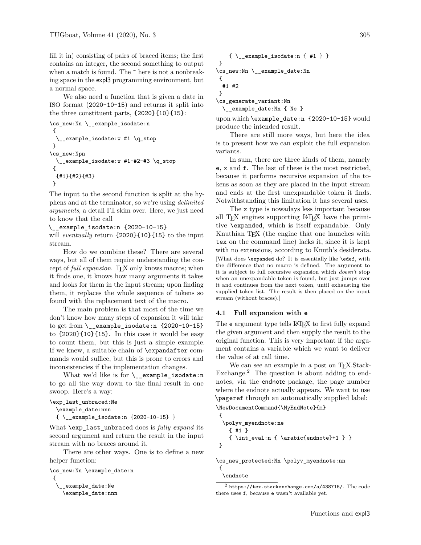fill it in) consisting of pairs of braced items; the first contains an integer, the second something to output when a match is found. The  $\tilde{}$  here is not a nonbreaking space in the expl3 programming environment, but a normal space.

We also need a function that is given a date in ISO format (2020-10-15) and returns it split into the three constituent parts, {2020}{10}{15}:

```
\cs_new:Nn \__example_isodate:n
 {
      \texttt{example}\_\texttt{isodate:w #1 }\qquad\texttt{q\_stop}}
\cs_new:Npn
  \__example_isodate:w #1-#2-#3 \q_stop
 {
  {#1}{#2}{#3}
}
```
The input to the second function is split at the hyphens and at the terminator, so we're using *delimited arguments*, a detail I'll skim over. Here, we just need to know that the call

\\_\_example\_isodate:n {2020-10-15}

will *eventually* return {2020}{10}{15} to the input stream.

How do we combine these? There are several ways, but all of them require understanding the concept of *full expansion*. TEX only knows macros; when it finds one, it knows how many arguments it takes and looks for them in the input stream; upon finding them, it replaces the whole sequence of tokens so found with the replacement text of the macro.

The main problem is that most of the time we don't know how many steps of expansion it will take to get from \\_\_example\_isodate:n {2020-10-15} to {2020}{10}{15}. In this case it would be easy to count them, but this is just a simple example. If we knew, a suitable chain of \expandafter commands would suffice, but this is prone to errors and inconsistencies if the implementation changes.

What we'd like is for  $\_{\text{example} is odd}$ . to go all the way down to the final result in one swoop. Here's a way:

```
\exp_last_unbraced:Ne
```

```
\example_date:nnn
```
{ \\_\_example\_isodate:n {2020-10-15} }

What \exp\_last\_unbraced does is *fully expand* its second argument and return the result in the input stream with no braces around it.

There are other ways. One is to define a new helper function:

```
\cs_new:Nn \example_date:n
 {
    _example_date:Ne
    \example_date:nnn
```

```
\{ \setminus \_\texttt{example} isodate:n \{ \#1 \}}
\cs_new:Nn \__example_date:Nn
 {
  #1 #2
 }
```
\cs\_generate\_variant:Nn \\_\_example\_date:Nn { Ne }

upon which \example\_date:n {2020-10-15} would produce the intended result.

There are still more ways, but here the idea is to present how we can exploit the full expansion variants.

In sum, there are three kinds of them, namely e, x and f. The last of these is the most restricted, because it performs recursive expansion of the tokens as soon as they are placed in the input stream and ends at the first unexpandable token it finds. Notwithstanding this limitation it has several uses.

The x type is nowadays less important because all TEX engines supporting LATEX have the primitive \expanded, which is itself expandable. Only Knuthian TEX (the engine that one launches with tex on the command line) lacks it, since it is kept with no extensions, according to Knuth's desiderata. [What does \expanded do? It is essentially like \edef, with the difference that no macro is defined. The argument to it is subject to full recursive expansion which *doesn't* stop when an unexpandable token is found, but just jumps over it and continues from the next token, until exhausting the supplied token list. The result is then placed on the input stream (without braces).]

### **4.1 Full expansion with e**

The e argument type tells LATEX to first fully expand the given argument and then supply the result to the original function. This is very important if the argument contains a variable which we want to deliver the value of at call time.

We can see an example in a post on TEX.Stack-Exchange.<sup>2</sup> The question is about adding to endnotes, via the endnote package, the page number where the endnote actually appears. We want to use \pageref through an automatically supplied label:

```
\NewDocumentCommand{\MyEndNote}{m}
{
 \polyv_myendnote:ne
   { #1 }
   { \int_eval:n { \arabic{endnote}+1 } }
}
```
\cs\_new\_protected:Nn \polyv\_myendnote:nn { \endnote

 $^{2}$  https://tex.stackexchange.com/a/438715/. The code there uses f, because e wasn't available yet.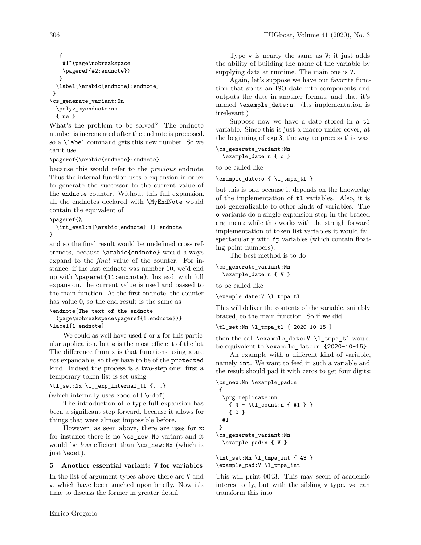```
{
    #1˜(page\nobreakspace
    \pageref{#2:endnote})
  }
  \label{\arabic{endnote}:endnote}
}
\cs_generate_variant:Nn
  \polyv_myendnote:nn
  { ne }
```
What's the problem to be solved? The endnote number is incremented after the endnote is processed, so a \label command gets this new number. So we can't use

### \pageref{\arabic{endnote}:endnote}

because this would refer to the *previous* endnote. Thus the internal function uses e expansion in order to generate the successor to the current value of the endnote counter. Without this full expansion, all the endnotes declared with \MyEndNote would contain the equivalent of

\pageref{%

\int\_eval:n{\arabic{endnote}+1}:endnote }

and so the final result would be undefined cross references, because \arabic{endnote} would always expand to the *final* value of the counter. For instance, if the last endnote was number 10, we'd end up with \pageref{11:endnote}. Instead, with full expansion, the current value is used and passed to the main function. At the first endnote, the counter has value 0, so the end result is the same as

```
\endnote{The text of the endnote
  (page\nobreakspace\pageref{1:endnote})}
\label{1:endnote}
```
We could as well have used  $f$  or x for this particular application, but e is the most efficient of the lot. The difference from x is that functions using x are *not* expandable, so they have to be of the protected kind. Indeed the process is a two-step one: first a temporary token list is set using

\tl\_set:Nx \l\_\_exp\_internal\_tl {...}

(which internally uses good old \edef).

The introduction of e-type full expansion has been a significant step forward, because it allows for things that were almost impossible before.

However, as seen above, there are uses for x: for instance there is no \cs\_new:Ne variant and it would be *less* efficient than  $\cos$  new:Nx (which is just \edef).

# **5 Another essential variant: V for variables**

In the list of argument types above there are V and v, which have been touched upon briefly. Now it's time to discuss the former in greater detail.

Type v is nearly the same as V; it just adds the ability of building the name of the variable by supplying data at runtime. The main one is V.

Again, let's suppose we have our favorite function that splits an ISO date into components and outputs the date in another format, and that it's named \example\_date:n. (Its implementation is irrelevant.)

Suppose now we have a date stored in a tl variable. Since this is just a macro under cover, at the beginning of expl3, the way to process this was

```
\cs_generate_variant:Nn
  \example_date:n { o }
```
to be called like

```
\example_date:o { \l_tmpa_tl }
```
but this is bad because it depends on the knowledge of the implementation of tl variables. Also, it is not generalizable to other kinds of variables. The o variants do a single expansion step in the braced argument; while this works with the straightforward implementation of token list variables it would fail spectacularly with  $fp$  variables (which contain floating point numbers).

The best method is to do

```
\cs_generate_variant:Nn
  \example_date:n { V }
```
to be called like

```
\example_date:V \l_tmpa_tl
```
This will deliver the contents of the variable, suitably braced, to the main function. So if we did

```
\tl_set:Nn \l_tmpa_tl { 2020-10-15 }
```
then the call \example\_date:V \l\_tmpa\_tl would be equivalent to  $\text{example date:}n \{2020-10-15\}.$ 

An example with a different kind of variable, namely int. We want to feed in such a variable and the result should pad it with zeros to get four digits:

```
\cs_new:Nn \example_pad:n
{
  \prg_replicate:nn
   { 4 - \tl_count:n { #1 } }
   { 0 }
 #1
}
\cs_generate_variant:Nn
 \example_pad:n { V }
\int_set:Nn \l_tmpa_int { 43 }
```
\example\_pad:V \l\_tmpa\_int

This will print 0043. This may seem of academic interest only, but with the sibling v type, we can transform this into